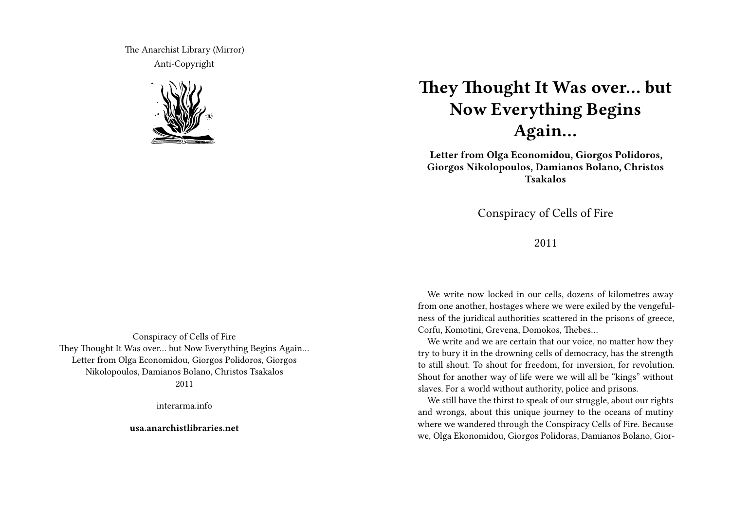The Anarchist Library (Mirror) Anti-Copyright



**They Thought It Was over… but Now Everything Begins Again…**

**Letter from Olga Economidou, Giorgos Polidoros, Giorgos Nikolopoulos, Damianos Bolano, Christos Tsakalos**

Conspiracy of Cells of Fire

2011

We write now locked in our cells, dozens of kilometres away from one another, hostages where we were exiled by the vengefulness of the juridical authorities scattered in the prisons of greece, Corfu, Komotini, Grevena, Domokos, Thebes…

We write and we are certain that our voice, no matter how they try to bury it in the drowning cells of democracy, has the strength to still shout. To shout for freedom, for inversion, for revolution. Shout for another way of life were we will all be "kings" without slaves. For a world without authority, police and prisons.

We still have the thirst to speak of our struggle, about our rights and wrongs, about this unique journey to the oceans of mutiny where we wandered through the Conspiracy Cells of Fire. Because we, Olga Ekonomidou, Giorgos Polidoras, Damianos Bolano, Gior-

Conspiracy of Cells of Fire They Thought It Was over… but Now Everything Begins Again… Letter from Olga Economidou, Giorgos Polidoros, Giorgos Nikolopoulos, Damianos Bolano, Christos Tsakalos 2011

interarma.info

**usa.anarchistlibraries.net**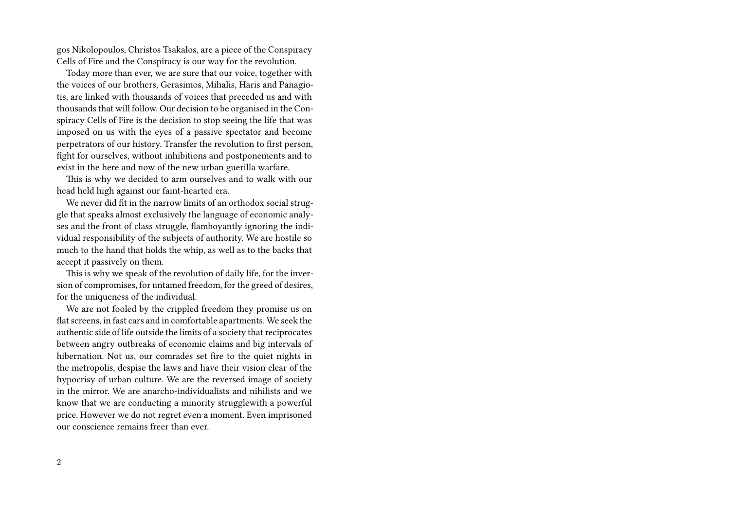gos Nikolopoulos, Christos Tsakalos, are a piece of the Conspiracy Cells of Fire and the Conspiracy is our way for the revolution.

Today more than ever, we are sure that our voice, together with the voices of our brothers, Gerasimos, Mihalis, Haris and Panagiotis, are linked with thousands of voices that preceded us and with thousands that will follow. Our decision to be organised in the Conspiracy Cells of Fire is the decision to stop seeing the life that was imposed on us with the eyes of a passive spectator and become perpetrators of our history. Transfer the revolution to first person, fight for ourselves, without inhibitions and postponements and to exist in the here and now of the new urban guerilla warfare.

This is why we decided to arm ourselves and to walk with our head held high against our faint-hearted era.

We never did fit in the narrow limits of an orthodox social struggle that speaks almost exclusively the language of economic analyses and the front of class struggle, flamboyantly ignoring the individual responsibility of the subjects of authority. We are hostile so much to the hand that holds the whip, as well as to the backs that accept it passively on them.

This is why we speak of the revolution of daily life, for the inversion of compromises, for untamed freedom, for the greed of desires, for the uniqueness of the individual.

We are not fooled by the crippled freedom they promise us on flat screens, in fast cars and in comfortable apartments. We seek the authentic side of life outside the limits of a society that reciprocates between angry outbreaks of economic claims and big intervals of hibernation. Not us, our comrades set fire to the quiet nights in the metropolis, despise the laws and have their vision clear of the hypocrisy of urban culture. We are the reversed image of society in the mirror. We are anarcho-individualists and nihilists and we know that we are conducting a minority strugglewith a powerful price. However we do not regret even a moment. Even imprisoned our conscience remains freer than ever.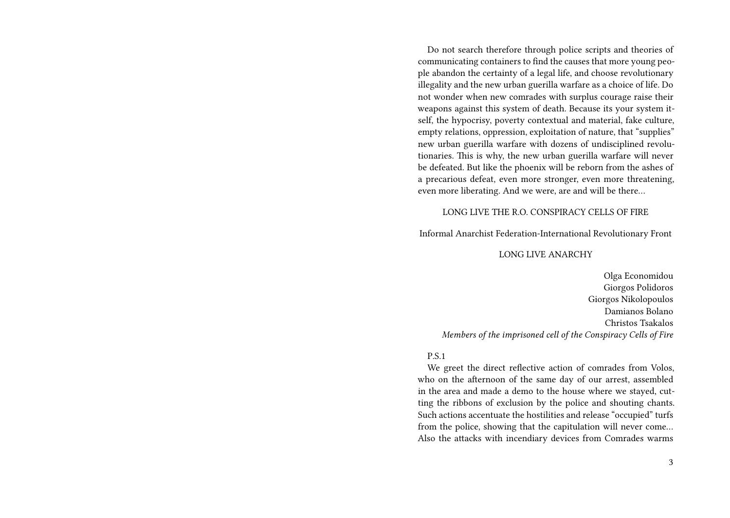Do not search therefore through police scripts and theories of communicating containers to find the causes that more young people abandon the certainty of a legal life, and choose revolutionary illegality and the new urban guerilla warfare as a choice of life. Do not wonder when new comrades with surplus courage raise their weapons against this system of death. Because its your system itself, the hypocrisy, poverty contextual and material, fake culture, empty relations, oppression, exploitation of nature, that "supplies" new urban guerilla warfare with dozens of undisciplined revolutionaries. This is why, the new urban guerilla warfare will never be defeated. But like the phoenix will be reborn from the ashes of a precarious defeat, even more stronger, even more threatening, even more liberating. And we were, are and will be there…

## LONG LIVE THE R.O. CONSPIRACY CELLS OF FIRE

Informal Anarchist Federation-International Revolutionary Front

## LONG LIVE ANARCHY

Olga Economidou Giorgos Polidoros Giorgos Nikolopoulos Damianos Bolano Christos Tsakalos *Members of the imprisoned cell of the Conspiracy Cells of Fire*

## P.S.1

We greet the direct reflective action of comrades from Volos, who on the afternoon of the same day of our arrest, assembled in the area and made a demo to the house where we stayed, cutting the ribbons of exclusion by the police and shouting chants. Such actions accentuate the hostilities and release "occupied" turfs from the police, showing that the capitulation will never come… Also the attacks with incendiary devices from Comrades warms